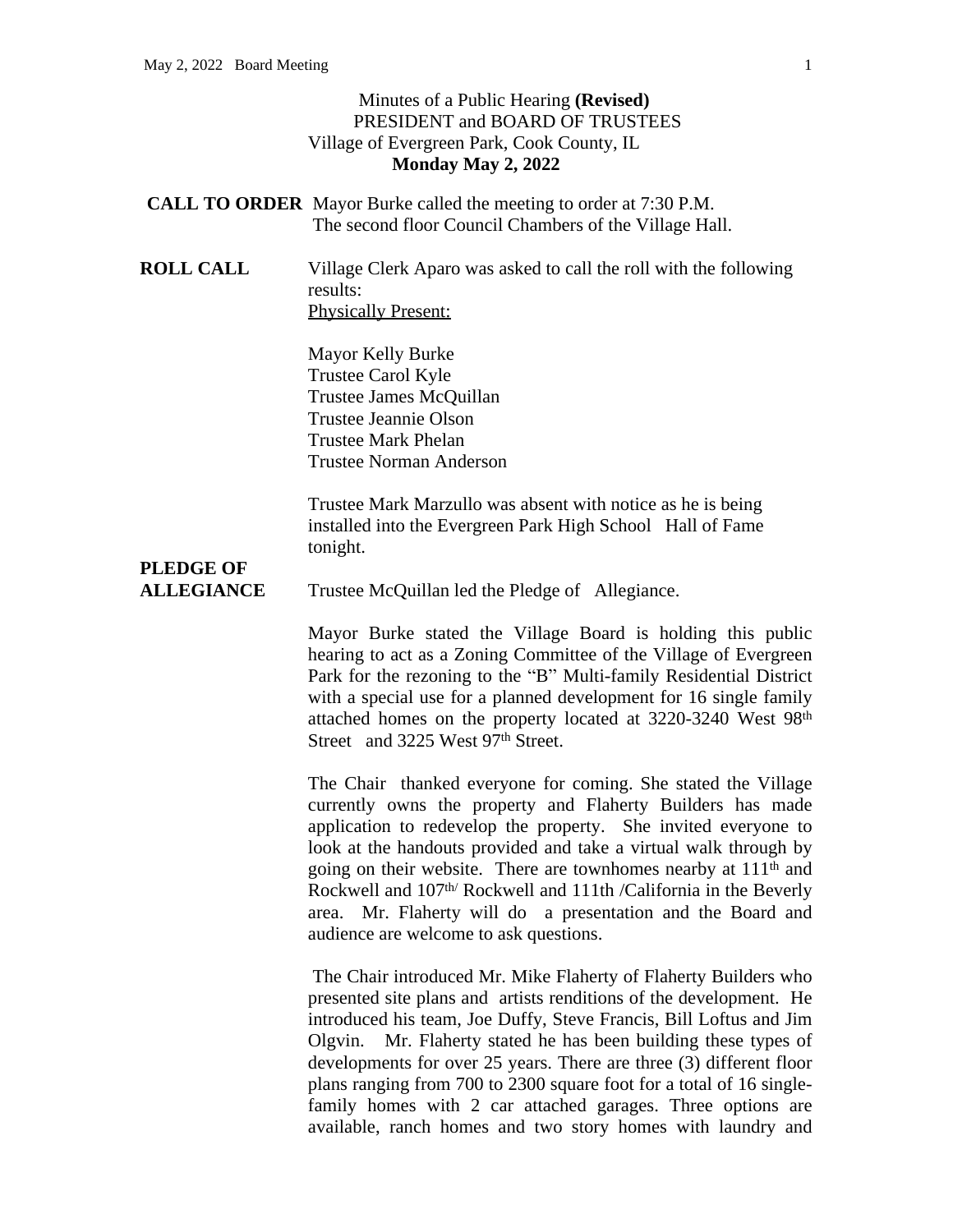## Minutes of a Public Hearing **(Revised)** PRESIDENT and BOARD OF TRUSTEES Village of Evergreen Park, Cook County, IL **Monday May 2, 2022**

- **CALL TO ORDER** Mayor Burke called the meeting to order at 7:30 P.M. The second floor Council Chambers of the Village Hall.
- **ROLL CALL** Village Clerk Aparo was asked to call the roll with the following results: Physically Present:

Mayor Kelly Burke Trustee Carol Kyle Trustee James McQuillan Trustee Jeannie Olson Trustee Mark Phelan Trustee Norman Anderson

Trustee Mark Marzullo was absent with notice as he is being installed into the Evergreen Park High School Hall of Fame tonight.

## **PLEDGE OF**

**ALLEGIANCE** Trustee McQuillan led the Pledge of Allegiance.

Mayor Burke stated the Village Board is holding this public hearing to act as a Zoning Committee of the Village of Evergreen Park for the rezoning to the "B" Multi-family Residential District with a special use for a planned development for 16 single family attached homes on the property located at 3220-3240 West 98th Street and 3225 West 97<sup>th</sup> Street.

The Chair thanked everyone for coming. She stated the Village currently owns the property and Flaherty Builders has made application to redevelop the property. She invited everyone to look at the handouts provided and take a virtual walk through by going on their website. There are townhomes nearby at 111th and Rockwell and 107th/ Rockwell and 111th /California in the Beverly area. Mr. Flaherty will do a presentation and the Board and audience are welcome to ask questions.

The Chair introduced Mr. Mike Flaherty of Flaherty Builders who presented site plans and artists renditions of the development. He introduced his team, Joe Duffy, Steve Francis, Bill Loftus and Jim Olgvin. Mr. Flaherty stated he has been building these types of developments for over 25 years. There are three (3) different floor plans ranging from 700 to 2300 square foot for a total of 16 singlefamily homes with 2 car attached garages. Three options are available, ranch homes and two story homes with laundry and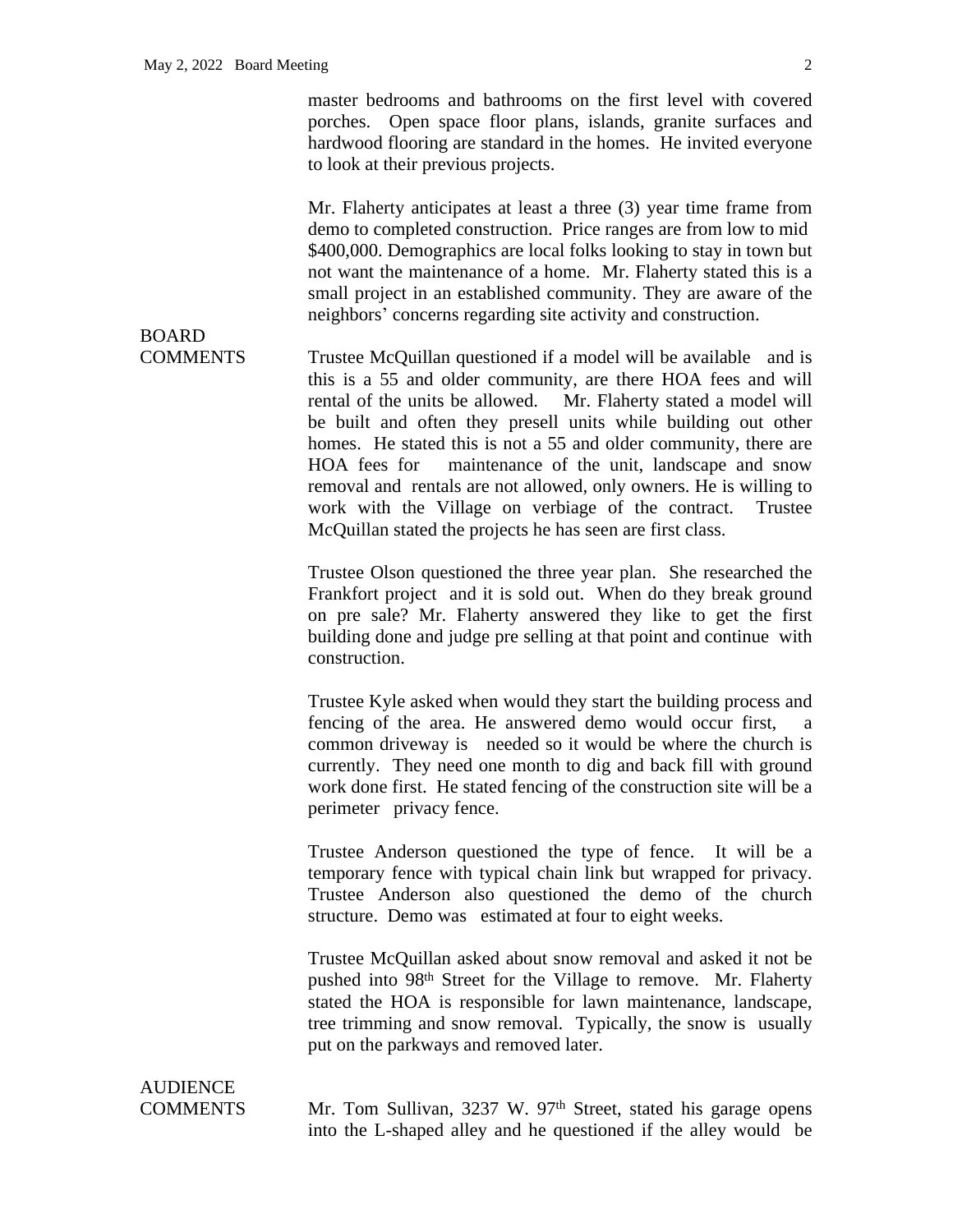BOARD

master bedrooms and bathrooms on the first level with covered porches. Open space floor plans, islands, granite surfaces and hardwood flooring are standard in the homes. He invited everyone to look at their previous projects.

Mr. Flaherty anticipates at least a three (3) year time frame from demo to completed construction. Price ranges are from low to mid \$400,000. Demographics are local folks looking to stay in town but not want the maintenance of a home. Mr. Flaherty stated this is a small project in an established community. They are aware of the neighbors' concerns regarding site activity and construction.

COMMENTS Trustee McQuillan questioned if a model will be available and is this is a 55 and older community, are there HOA fees and will rental of the units be allowed. Mr. Flaherty stated a model will be built and often they presell units while building out other homes. He stated this is not a 55 and older community, there are HOA fees for maintenance of the unit, landscape and snow removal and rentals are not allowed, only owners. He is willing to work with the Village on verbiage of the contract. Trustee McQuillan stated the projects he has seen are first class.

> Trustee Olson questioned the three year plan. She researched the Frankfort project and it is sold out. When do they break ground on pre sale? Mr. Flaherty answered they like to get the first building done and judge pre selling at that point and continue with construction.

> Trustee Kyle asked when would they start the building process and fencing of the area. He answered demo would occur first, a common driveway is needed so it would be where the church is currently. They need one month to dig and back fill with ground work done first. He stated fencing of the construction site will be a perimeter privacy fence.

> Trustee Anderson questioned the type of fence. It will be a temporary fence with typical chain link but wrapped for privacy. Trustee Anderson also questioned the demo of the church structure. Demo was estimated at four to eight weeks.

> Trustee McQuillan asked about snow removal and asked it not be pushed into 98<sup>th</sup> Street for the Village to remove. Mr. Flaherty stated the HOA is responsible for lawn maintenance, landscape, tree trimming and snow removal. Typically, the snow is usually put on the parkways and removed later.

**AUDIENCE** 

COMMENTS Mr. Tom Sullivan, 3237 W. 97<sup>th</sup> Street, stated his garage opens into the L-shaped alley and he questioned if the alley would be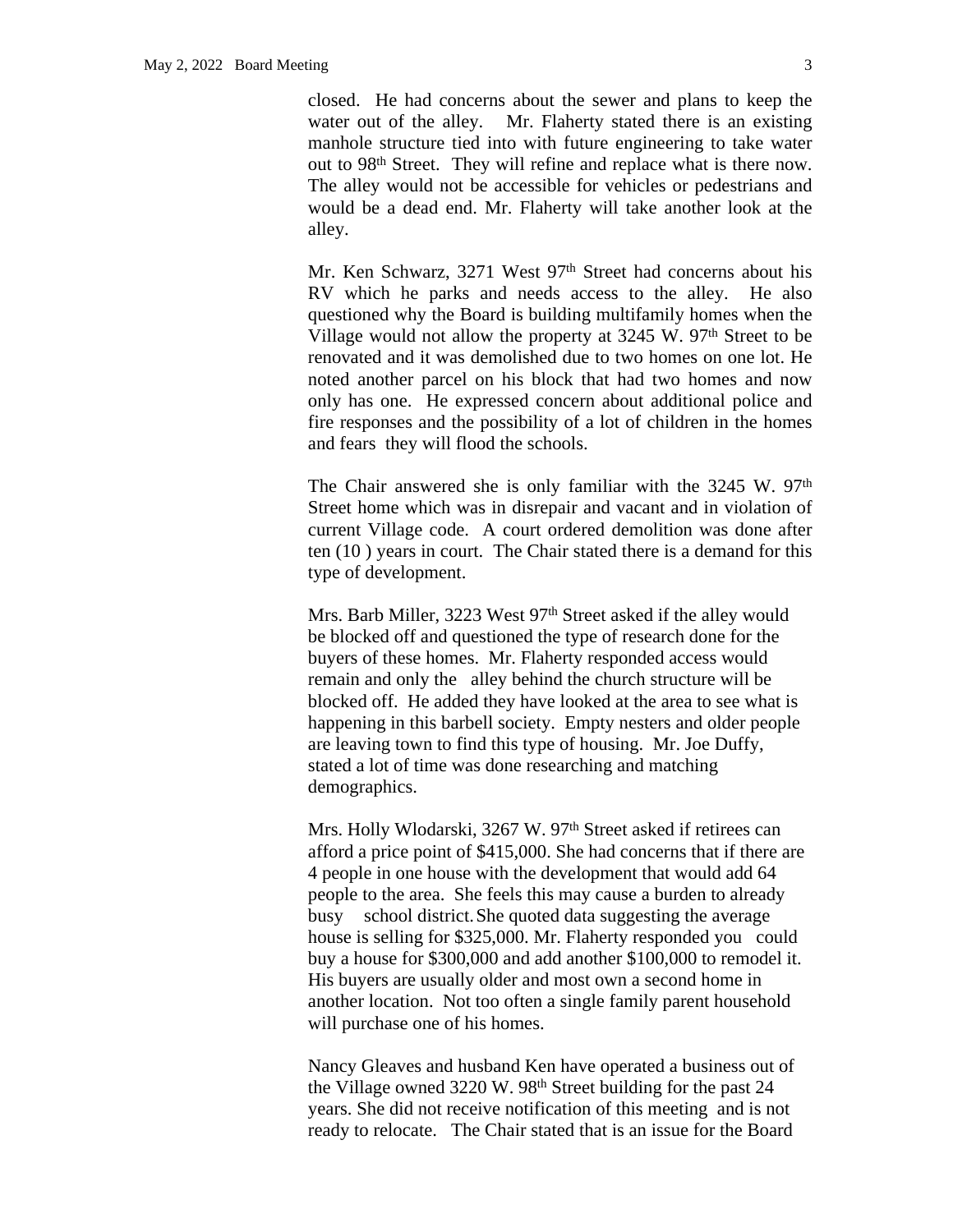closed. He had concerns about the sewer and plans to keep the water out of the alley. Mr. Flaherty stated there is an existing manhole structure tied into with future engineering to take water out to 98th Street. They will refine and replace what is there now. The alley would not be accessible for vehicles or pedestrians and would be a dead end. Mr. Flaherty will take another look at the alley.

Mr. Ken Schwarz, 3271 West 97<sup>th</sup> Street had concerns about his RV which he parks and needs access to the alley. He also questioned why the Board is building multifamily homes when the Village would not allow the property at  $3245$  W.  $97<sup>th</sup>$  Street to be renovated and it was demolished due to two homes on one lot. He noted another parcel on his block that had two homes and now only has one. He expressed concern about additional police and fire responses and the possibility of a lot of children in the homes and fears they will flood the schools.

The Chair answered she is only familiar with the 3245 W. 97<sup>th</sup> Street home which was in disrepair and vacant and in violation of current Village code. A court ordered demolition was done after ten (10 ) years in court. The Chair stated there is a demand for this type of development.

Mrs. Barb Miller, 3223 West 97<sup>th</sup> Street asked if the alley would be blocked off and questioned the type of research done for the buyers of these homes. Mr. Flaherty responded access would remain and only the alley behind the church structure will be blocked off. He added they have looked at the area to see what is happening in this barbell society. Empty nesters and older people are leaving town to find this type of housing. Mr. Joe Duffy, stated a lot of time was done researching and matching demographics.

Mrs. Holly Wlodarski, 3267 W. 97<sup>th</sup> Street asked if retirees can afford a price point of \$415,000. She had concerns that if there are 4 people in one house with the development that would add 64 people to the area. She feels this may cause a burden to already busy school district.She quoted data suggesting the average house is selling for \$325,000. Mr. Flaherty responded you could buy a house for \$300,000 and add another \$100,000 to remodel it. His buyers are usually older and most own a second home in another location. Not too often a single family parent household will purchase one of his homes.

Nancy Gleaves and husband Ken have operated a business out of the Village owned  $3220 \text{ W}$ .  $98^{\text{th}}$  Street building for the past 24 years. She did not receive notification of this meeting and is not ready to relocate. The Chair stated that is an issue for the Board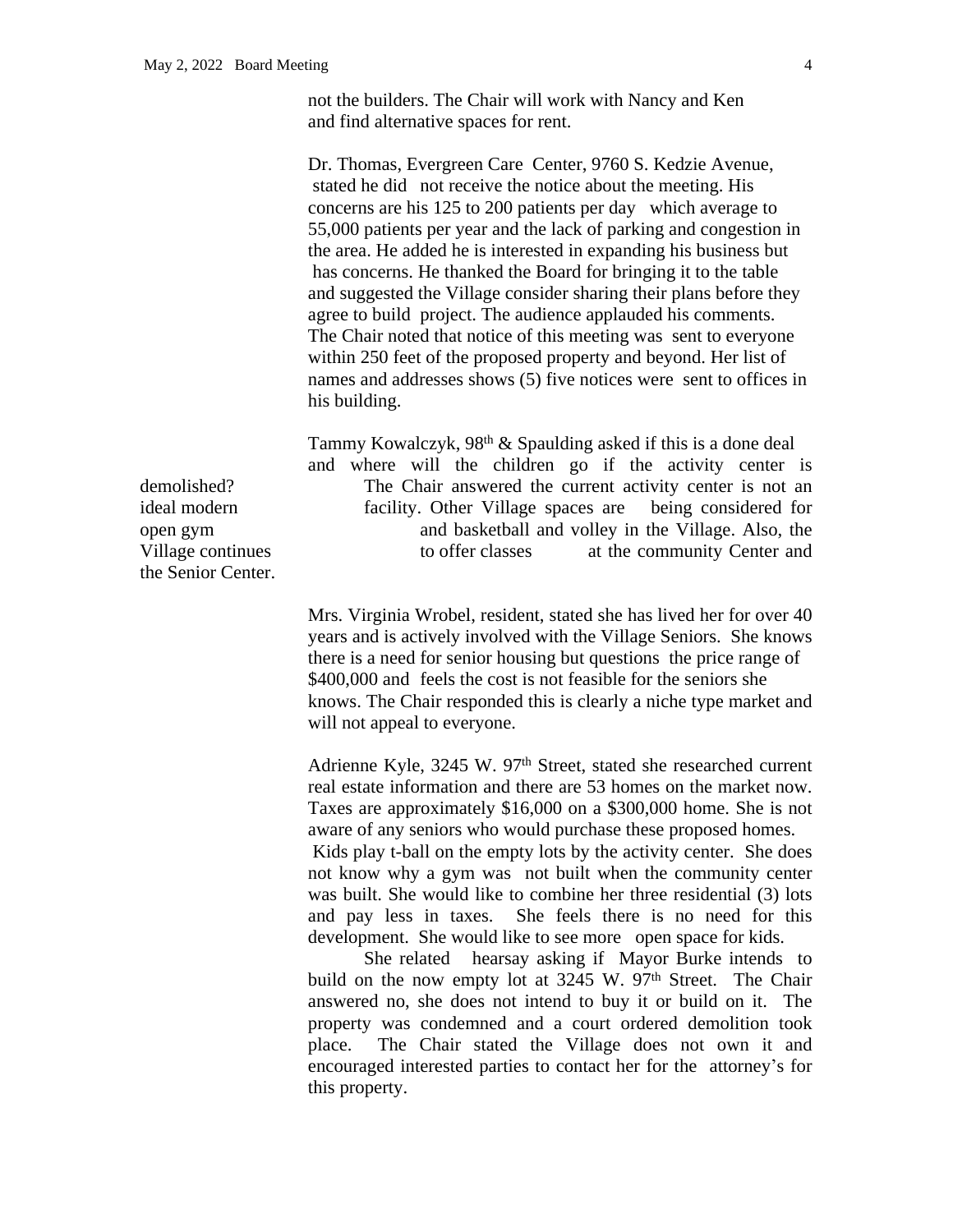not the builders. The Chair will work with Nancy and Ken and find alternative spaces for rent.

Dr. Thomas, Evergreen Care Center, 9760 S. Kedzie Avenue, stated he did not receive the notice about the meeting. His concerns are his 125 to 200 patients per day which average to 55,000 patients per year and the lack of parking and congestion in the area. He added he is interested in expanding his business but has concerns. He thanked the Board for bringing it to the table and suggested the Village consider sharing their plans before they agree to build project. The audience applauded his comments. The Chair noted that notice of this meeting was sent to everyone within 250 feet of the proposed property and beyond. Her list of names and addresses shows (5) five notices were sent to offices in his building.

Tammy Kowalczyk, 98th & Spaulding asked if this is a done deal and where will the children go if the activity center is demolished? The Chair answered the current activity center is not an ideal modern facility. Other Village spaces are being considered for open gym and basketball and volley in the Village. Also, the Village continues to offer classes at the community Center and

> Mrs. Virginia Wrobel, resident, stated she has lived her for over 40 years and is actively involved with the Village Seniors. She knows there is a need for senior housing but questions the price range of \$400,000 and feels the cost is not feasible for the seniors she knows. The Chair responded this is clearly a niche type market and will not appeal to everyone.

> Adrienne Kyle, 3245 W. 97<sup>th</sup> Street, stated she researched current real estate information and there are 53 homes on the market now. Taxes are approximately \$16,000 on a \$300,000 home. She is not aware of any seniors who would purchase these proposed homes. Kids play t-ball on the empty lots by the activity center. She does not know why a gym was not built when the community center was built. She would like to combine her three residential (3) lots and pay less in taxes. She feels there is no need for this development. She would like to see more open space for kids.

> She related hearsay asking if Mayor Burke intends to build on the now empty lot at  $3245$  W.  $97<sup>th</sup>$  Street. The Chair answered no, she does not intend to buy it or build on it. The property was condemned and a court ordered demolition took place. The Chair stated the Village does not own it and encouraged interested parties to contact her for the attorney's for this property.

the Senior Center.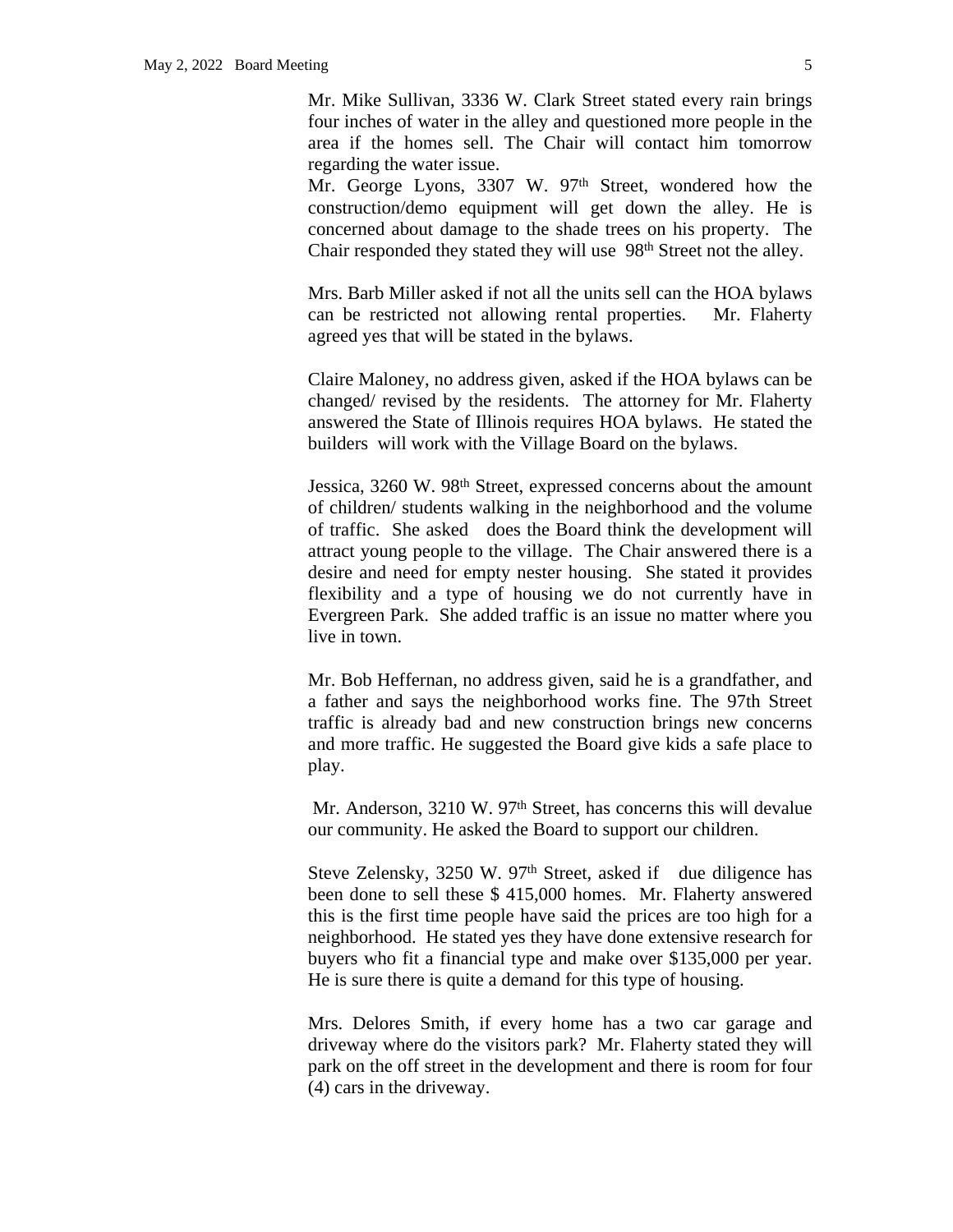Mr. Mike Sullivan, 3336 W. Clark Street stated every rain brings four inches of water in the alley and questioned more people in the area if the homes sell. The Chair will contact him tomorrow regarding the water issue.

Mr. George Lyons, 3307 W. 97<sup>th</sup> Street, wondered how the construction/demo equipment will get down the alley. He is concerned about damage to the shade trees on his property. The Chair responded they stated they will use 98<sup>th</sup> Street not the alley.

Mrs. Barb Miller asked if not all the units sell can the HOA bylaws can be restricted not allowing rental properties. Mr. Flaherty agreed yes that will be stated in the bylaws.

Claire Maloney, no address given, asked if the HOA bylaws can be changed/ revised by the residents. The attorney for Mr. Flaherty answered the State of Illinois requires HOA bylaws. He stated the builders will work with the Village Board on the bylaws.

Jessica, 3260 W. 98<sup>th</sup> Street, expressed concerns about the amount of children/ students walking in the neighborhood and the volume of traffic. She asked does the Board think the development will attract young people to the village. The Chair answered there is a desire and need for empty nester housing. She stated it provides flexibility and a type of housing we do not currently have in Evergreen Park. She added traffic is an issue no matter where you live in town.

Mr. Bob Heffernan, no address given, said he is a grandfather, and a father and says the neighborhood works fine. The 97th Street traffic is already bad and new construction brings new concerns and more traffic. He suggested the Board give kids a safe place to play.

Mr. Anderson, 3210 W. 97<sup>th</sup> Street, has concerns this will devalue our community. He asked the Board to support our children.

Steve Zelensky,  $3250 \text{ W}$ .  $97<sup>th</sup>$  Street, asked if due diligence has been done to sell these \$ 415,000 homes. Mr. Flaherty answered this is the first time people have said the prices are too high for a neighborhood. He stated yes they have done extensive research for buyers who fit a financial type and make over \$135,000 per year. He is sure there is quite a demand for this type of housing.

Mrs. Delores Smith, if every home has a two car garage and driveway where do the visitors park? Mr. Flaherty stated they will park on the off street in the development and there is room for four (4) cars in the driveway.